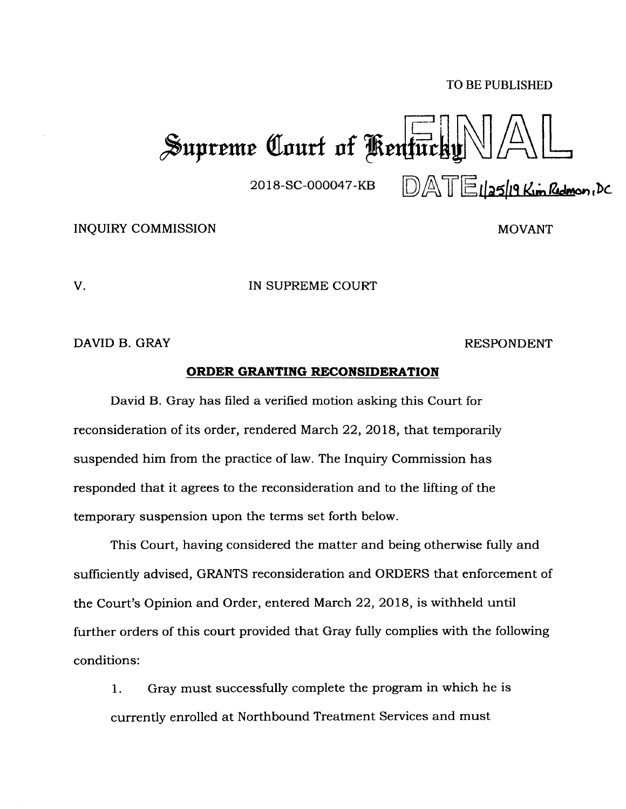## TO BE PUBLISHED

Supreme Court of Kentuck!  $\mathbb{DAT}$ Elas/19 Kim Redmon, DC

2018-SC-000047-KB

INQUIRY COMMISSION

MOVANT

V. IN SUPREME COURT

DAVID B. GRAY RESPONDENT

## **ORDER GRANTING RECONSIDERATION**

David B. Gray has filed a verified motion asking this Court for reconsideration of its order, rendered March 22, 2018, that temporarily suspended him from the practice of law. The Inquiry Commission has responded that it agrees to the reconsideration and to the lifting of the temporary suspension upon the terms set forth below.

This Court, having considered the matter and being otherwise fully and sufficiently advised, GRANTS reconsideration and ORDERS that enforcement of the Court's Opinion and Order, entered March 22, 2018, is withheld until further orders of this court provided that Gray fully complies with the following conditions:

1. Gray must successfully complete the program in which he is currently enrolled at Northbound Treatment Services and must